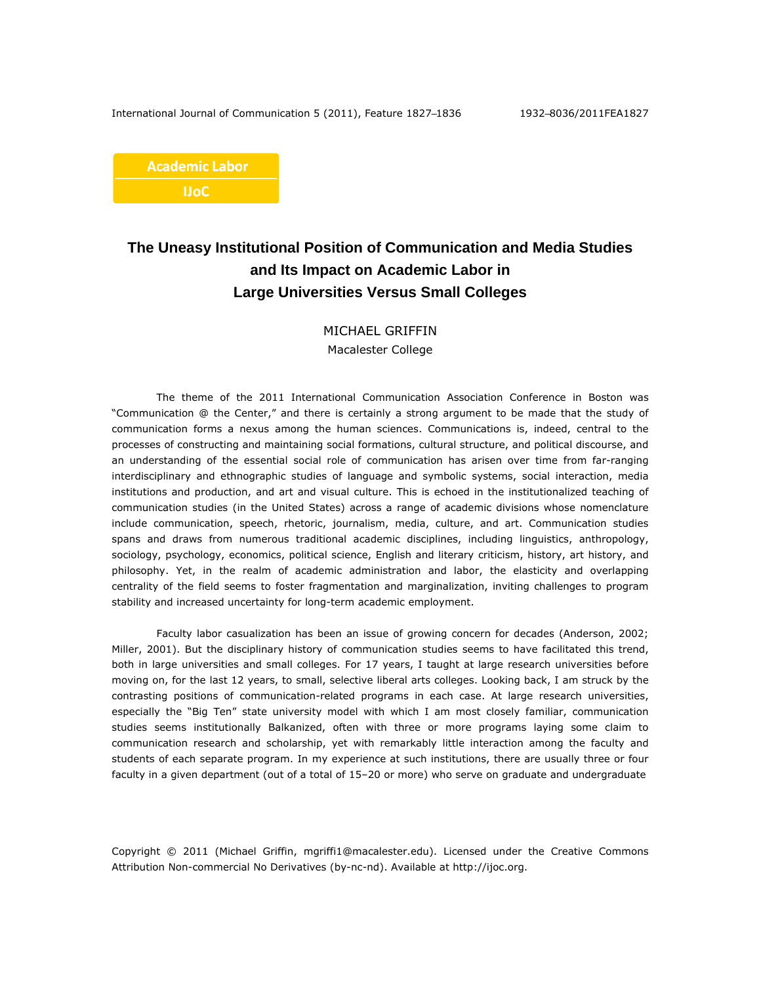**Academic Labor IJoC** 

## **The Uneasy Institutional Position of Communication and Media Studies and Its Impact on Academic Labor in Large Universities Versus Small Colleges**

MICHAEL GRIFFIN

Macalester College

The theme of the 2011 International Communication Association Conference in Boston was "Communication @ the Center," and there is certainly a strong argument to be made that the study of communication forms a nexus among the human sciences. Communications is, indeed, central to the processes of constructing and maintaining social formations, cultural structure, and political discourse, and an understanding of the essential social role of communication has arisen over time from far-ranging interdisciplinary and ethnographic studies of language and symbolic systems, social interaction, media institutions and production, and art and visual culture. This is echoed in the institutionalized teaching of communication studies (in the United States) across a range of academic divisions whose nomenclature include communication, speech, rhetoric, journalism, media, culture, and art. Communication studies spans and draws from numerous traditional academic disciplines, including linguistics, anthropology, sociology, psychology, economics, political science, English and literary criticism, history, art history, and philosophy. Yet, in the realm of academic administration and labor, the elasticity and overlapping centrality of the field seems to foster fragmentation and marginalization, inviting challenges to program stability and increased uncertainty for long-term academic employment.

Faculty labor casualization has been an issue of growing concern for decades (Anderson, 2002; Miller, 2001). But the disciplinary history of communication studies seems to have facilitated this trend, both in large universities and small colleges. For 17 years, I taught at large research universities before moving on, for the last 12 years, to small, selective liberal arts colleges. Looking back, I am struck by the contrasting positions of communication-related programs in each case. At large research universities, especially the "Big Ten" state university model with which I am most closely familiar, communication studies seems institutionally Balkanized, often with three or more programs laying some claim to communication research and scholarship, yet with remarkably little interaction among the faculty and students of each separate program. In my experience at such institutions, there are usually three or four faculty in a given department (out of a total of 15–20 or more) who serve on graduate and undergraduate

Copyright © 2011 (Michael Griffin, mgriffi1@macalester.edu). Licensed under the Creative Commons Attribution Non-commercial No Derivatives (by-nc-nd). Available at http://ijoc.org.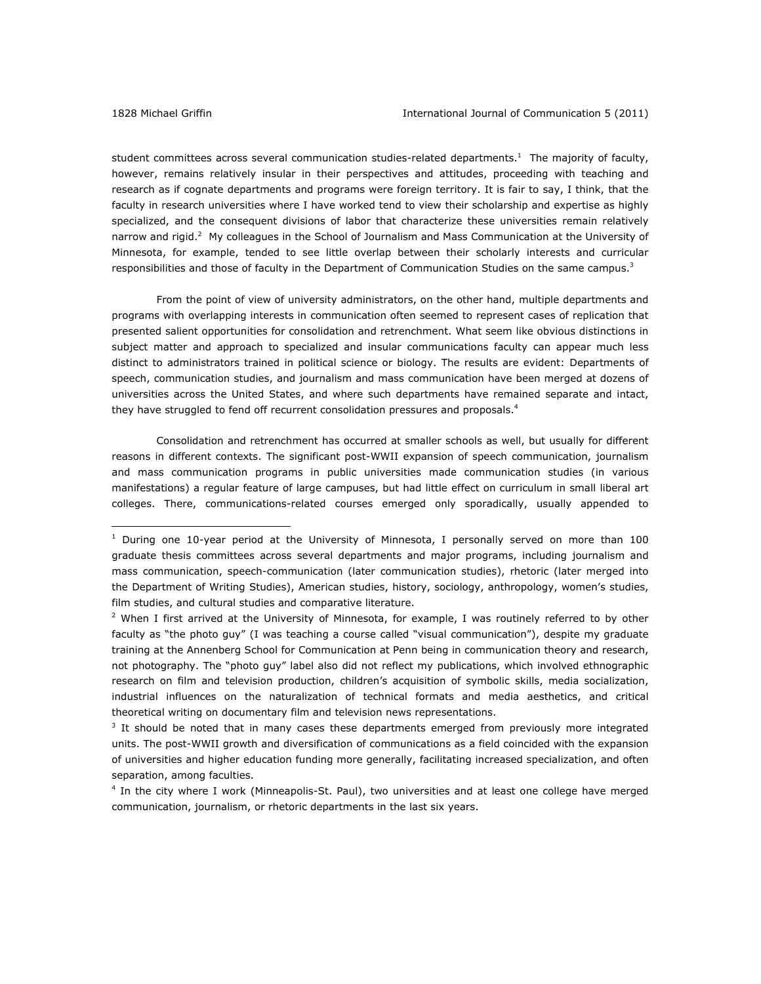student committees across several communication studies-related departments.<sup>1</sup> The majority of faculty, however, remains relatively insular in their perspectives and attitudes, proceeding with teaching and research as if cognate departments and programs were foreign territory. It is fair to say, I think, that the faculty in research universities where I have worked tend to view their scholarship and expertise as highly specialized, and the consequent divisions of labor that characterize these universities remain relatively narrow and rigid.<sup>2</sup> My colleagues in the School of Journalism and Mass Communication at the University of Minnesota, for example, tended to see little overlap between their scholarly interests and curricular responsibilities and those of faculty in the Department of Communication Studies on the same campus.<sup>3</sup>

From the point of view of university administrators, on the other hand, multiple departments and programs with overlapping interests in communication often seemed to represent cases of replication that presented salient opportunities for consolidation and retrenchment. What seem like obvious distinctions in subject matter and approach to specialized and insular communications faculty can appear much less distinct to administrators trained in political science or biology. The results are evident: Departments of speech, communication studies, and journalism and mass communication have been merged at dozens of universities across the United States, and where such departments have remained separate and intact, they have struggled to fend off recurrent consolidation pressures and proposals. $4$ 

Consolidation and retrenchment has occurred at smaller schools as well, but usually for different reasons in different contexts. The significant post-WWII expansion of speech communication, journalism and mass communication programs in public universities made communication studies (in various manifestations) a regular feature of large campuses, but had little effect on curriculum in small liberal art colleges. There, communications-related courses emerged only sporadically, usually appended to

<sup>&</sup>lt;sup>1</sup> During one 10-year period at the University of Minnesota, I personally served on more than 100 graduate thesis committees across several departments and major programs, including journalism and mass communication, speech-communication (later communication studies), rhetoric (later merged into the Department of Writing Studies), American studies, history, sociology, anthropology, women's studies, film studies, and cultural studies and comparative literature.

<sup>&</sup>lt;sup>2</sup> When I first arrived at the University of Minnesota, for example, I was routinely referred to by other faculty as "the photo guy" (I was teaching a course called "visual communication"), despite my graduate training at the Annenberg School for Communication at Penn being in communication theory and research, not photography. The "photo guy" label also did not reflect my publications, which involved ethnographic research on film and television production, children's acquisition of symbolic skills, media socialization, industrial influences on the naturalization of technical formats and media aesthetics, and critical theoretical writing on documentary film and television news representations.

<sup>&</sup>lt;sup>3</sup> It should be noted that in many cases these departments emerged from previously more integrated units. The post-WWII growth and diversification of communications as a field coincided with the expansion of universities and higher education funding more generally, facilitating increased specialization, and often separation, among faculties.

<sup>4</sup> In the city where I work (Minneapolis-St. Paul), two universities and at least one college have merged communication, journalism, or rhetoric departments in the last six years.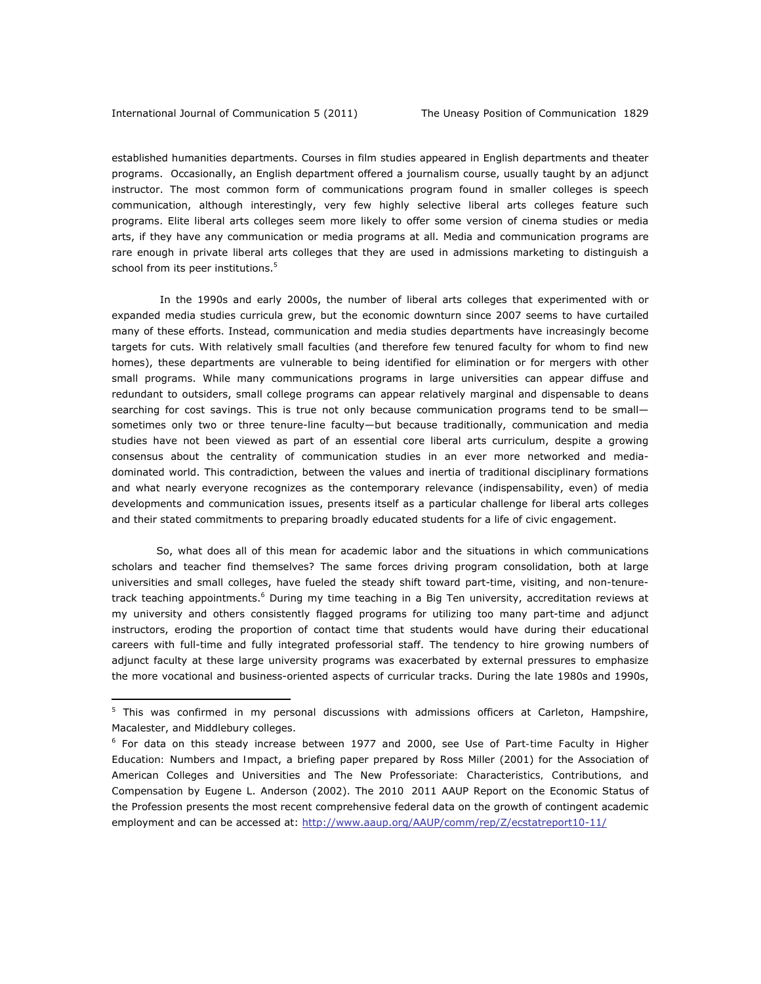established humanities departments. Courses in film studies appeared in English departments and theater programs. Occasionally, an English department offered a journalism course, usually taught by an adjunct instructor. The most common form of communications program found in smaller colleges is speech communication, although interestingly, very few highly selective liberal arts colleges feature such programs. Elite liberal arts colleges seem more likely to offer some version of cinema studies or media arts, if they have any communication or media programs at all. Media and communication programs are rare enough in private liberal arts colleges that they are used in admissions marketing to distinguish a school from its peer institutions.<sup>5</sup>

 In the 1990s and early 2000s, the number of liberal arts colleges that experimented with or expanded media studies curricula grew, but the economic downturn since 2007 seems to have curtailed many of these efforts. Instead, communication and media studies departments have increasingly become targets for cuts. With relatively small faculties (and therefore few tenured faculty for whom to find new homes), these departments are vulnerable to being identified for elimination or for mergers with other small programs. While many communications programs in large universities can appear diffuse and redundant to outsiders, small college programs can appear relatively marginal and dispensable to deans searching for cost savings. This is true not only because communication programs tend to be smallsometimes only two or three tenure-line faculty—but because traditionally, communication and media studies have not been viewed as part of an essential core liberal arts curriculum, despite a growing consensus about the centrality of communication studies in an ever more networked and mediadominated world. This contradiction, between the values and inertia of traditional disciplinary formations and what nearly everyone recognizes as the contemporary relevance (indispensability, even) of media developments and communication issues, presents itself as a particular challenge for liberal arts colleges and their stated commitments to preparing broadly educated students for a life of civic engagement.

So, what does all of this mean for academic labor and the situations in which communications scholars and teacher find themselves? The same forces driving program consolidation, both at large universities and small colleges, have fueled the steady shift toward part-time, visiting, and non-tenuretrack teaching appointments.<sup>6</sup> During my time teaching in a Big Ten university, accreditation reviews at my university and others consistently flagged programs for utilizing too many part-time and adjunct instructors, eroding the proportion of contact time that students would have during their educational careers with full-time and fully integrated professorial staff. The tendency to hire growing numbers of adjunct faculty at these large university programs was exacerbated by external pressures to emphasize the more vocational and business-oriented aspects of curricular tracks. During the late 1980s and 1990s,

<sup>&</sup>lt;sup>5</sup> This was confirmed in my personal discussions with admissions officers at Carleton, Hampshire, Macalester, and Middlebury colleges.

<sup>6</sup> For data on this steady increase between 1977 and 2000, see *Use of Part-time Faculty in Higher Education: Numbers and Impact*, a briefing paper prepared by Ross Miller (2001) for the Association of American Colleges and Universities and *The New Professoriate: Characteristics, Contributions, and*  Compensation by Eugene L. Anderson (2002). The 2010 2011 AAUP Report on the Economic Status of the Profession presents the most recent comprehensive federal data on the growth of contingent academic employment and can be accessed at: http://www.aaup.org/AAUP/comm/rep/Z/ecstatreport10-11/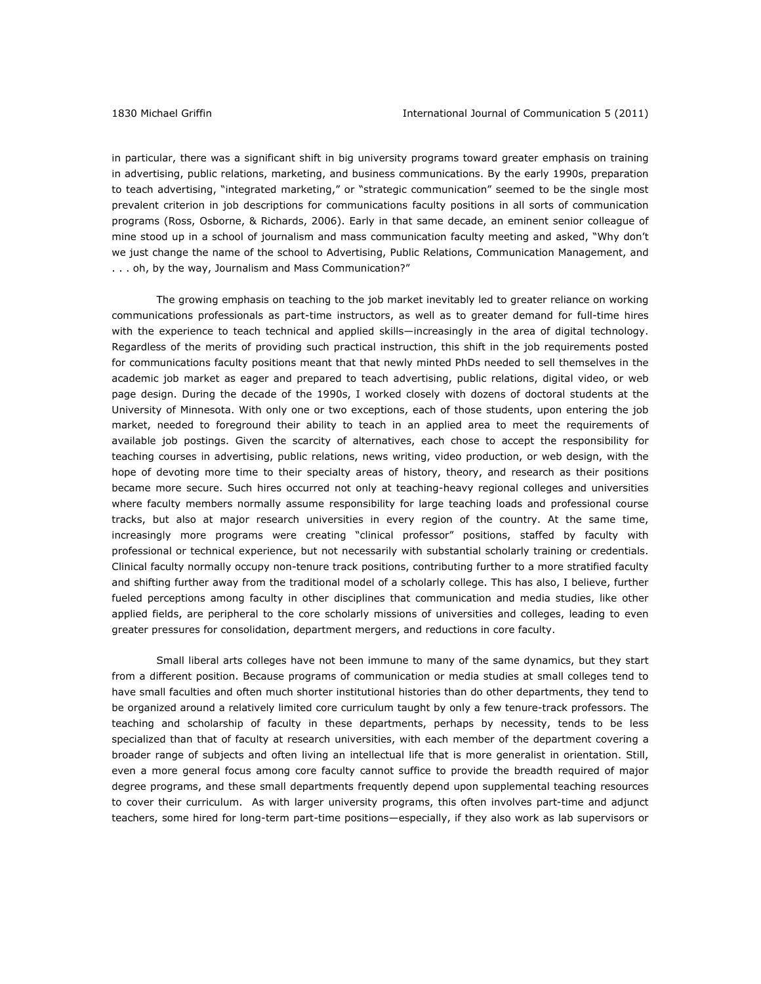in particular, there was a significant shift in big university programs toward greater emphasis on training in advertising, public relations, marketing, and business communications. By the early 1990s, preparation to teach advertising, "integrated marketing," or "strategic communication" seemed to be the single most prevalent criterion in job descriptions for communications faculty positions in all sorts of communication programs (Ross, Osborne, & Richards, 2006). Early in that same decade, an eminent senior colleague of mine stood up in a school of journalism and mass communication faculty meeting and asked, "Why don't we just change the name of the school to Advertising, Public Relations, Communication Management, and . . . oh, by the way, Journalism and Mass Communication?"

The growing emphasis on teaching to the job market inevitably led to greater reliance on working communications professionals as part-time instructors, as well as to greater demand for full-time hires with the experience to teach technical and applied skills—increasingly in the area of digital technology. Regardless of the merits of providing such practical instruction, this shift in the job requirements posted for communications faculty positions meant that that newly minted PhDs needed to sell themselves in the academic job market as eager and prepared to teach advertising, public relations, digital video, or web page design. During the decade of the 1990s, I worked closely with dozens of doctoral students at the University of Minnesota. With only one or two exceptions, each of those students, upon entering the job market, needed to foreground their ability to teach in an applied area to meet the requirements of available job postings. Given the scarcity of alternatives, each chose to accept the responsibility for teaching courses in advertising, public relations, news writing, video production, or web design, with the hope of devoting more time to their specialty areas of history, theory, and research as their positions became more secure. Such hires occurred not only at teaching-heavy regional colleges and universities where faculty members normally assume responsibility for large teaching loads and professional course tracks, but also at major research universities in every region of the country. At the same time, increasingly more programs were creating "clinical professor" positions, staffed by faculty with professional or technical experience, but not necessarily with substantial scholarly training or credentials. Clinical faculty normally occupy non-tenure track positions, contributing further to a more stratified faculty and shifting further away from the traditional model of a scholarly college. This has also, I believe, further fueled perceptions among faculty in other disciplines that communication and media studies, like other applied fields, are peripheral to the core scholarly missions of universities and colleges, leading to even greater pressures for consolidation, department mergers, and reductions in core faculty.

Small liberal arts colleges have not been immune to many of the same dynamics, but they start from a different position. Because programs of communication or media studies at small colleges tend to have small faculties and often much shorter institutional histories than do other departments, they tend to be organized around a relatively limited core curriculum taught by only a few tenure-track professors. The teaching and scholarship of faculty in these departments, perhaps by necessity, tends to be less specialized than that of faculty at research universities, with each member of the department covering a broader range of subjects and often living an intellectual life that is more generalist in orientation. Still, even a more general focus among core faculty cannot suffice to provide the breadth required of major degree programs, and these small departments frequently depend upon supplemental teaching resources to cover their curriculum. As with larger university programs, this often involves part-time and adjunct teachers, some hired for long-term part-time positions—especially, if they also work as lab supervisors or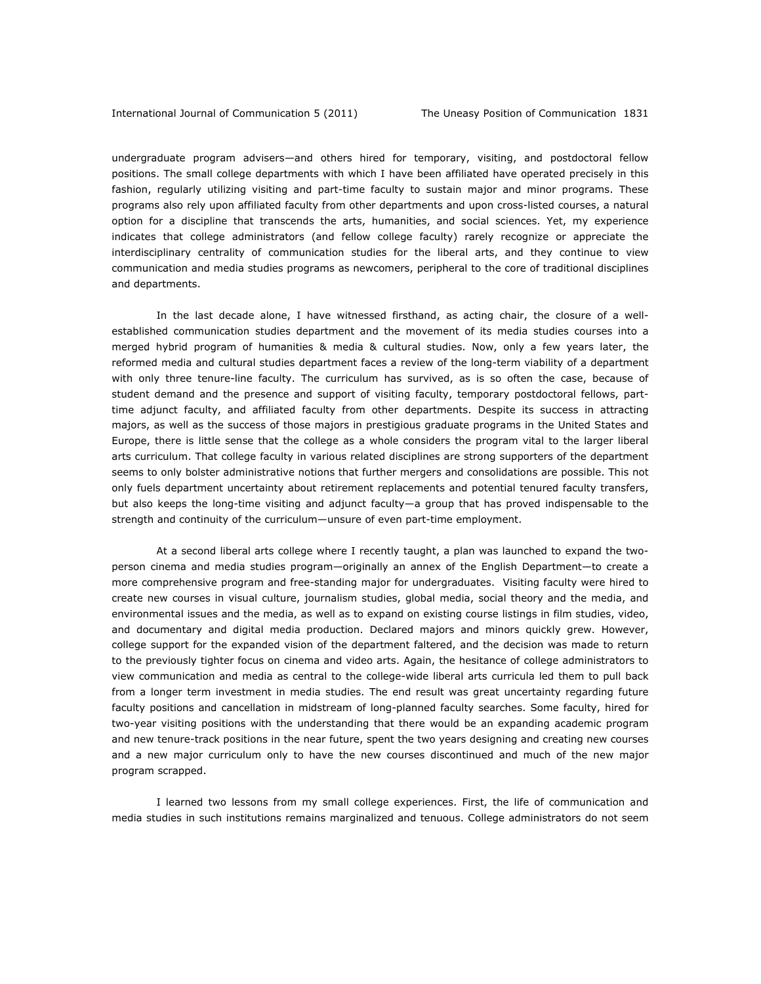undergraduate program advisers—and others hired for temporary, visiting, and postdoctoral fellow positions. The small college departments with which I have been affiliated have operated precisely in this fashion, regularly utilizing visiting and part-time faculty to sustain major and minor programs. These programs also rely upon affiliated faculty from other departments and upon cross-listed courses, a natural option for a discipline that transcends the arts, humanities, and social sciences. Yet, my experience indicates that college administrators (and fellow college faculty) rarely recognize or appreciate the interdisciplinary centrality of communication studies for the liberal arts, and they continue to view communication and media studies programs as newcomers, peripheral to the core of traditional disciplines and departments.

In the last decade alone, I have witnessed firsthand, as acting chair, the closure of a wellestablished communication studies department and the movement of its media studies courses into a merged hybrid program of humanities & media & cultural studies. Now, only a few years later, the reformed media and cultural studies department faces a review of the long-term viability of a department with only three tenure-line faculty. The curriculum has survived, as is so often the case, because of student demand and the presence and support of visiting faculty, temporary postdoctoral fellows, parttime adjunct faculty, and affiliated faculty from other departments. Despite its success in attracting majors, as well as the success of those majors in prestigious graduate programs in the United States and Europe, there is little sense that the college as a whole considers the program vital to the larger liberal arts curriculum. That college faculty in various related disciplines are strong supporters of the department seems to only bolster administrative notions that further mergers and consolidations are possible. This not only fuels department uncertainty about retirement replacements and potential tenured faculty transfers, but also keeps the long-time visiting and adjunct faculty—a group that has proved indispensable to the strength and continuity of the curriculum—unsure of even part-time employment.

At a second liberal arts college where I recently taught, a plan was launched to expand the twoperson cinema and media studies program—originally an annex of the English Department—to create a more comprehensive program and free-standing major for undergraduates. Visiting faculty were hired to create new courses in visual culture, journalism studies, global media, social theory and the media, and environmental issues and the media, as well as to expand on existing course listings in film studies, video, and documentary and digital media production. Declared majors and minors quickly grew. However, college support for the expanded vision of the department faltered, and the decision was made to return to the previously tighter focus on cinema and video arts. Again, the hesitance of college administrators to view communication and media as central to the college-wide liberal arts curricula led them to pull back from a longer term investment in media studies. The end result was great uncertainty regarding future faculty positions and cancellation in midstream of long-planned faculty searches. Some faculty, hired for two-year visiting positions with the understanding that there would be an expanding academic program and new tenure-track positions in the near future, spent the two years designing and creating new courses and a new major curriculum only to have the new courses discontinued and much of the new major program scrapped.

I learned two lessons from my small college experiences. First, the life of communication and media studies in such institutions remains marginalized and tenuous. College administrators do not seem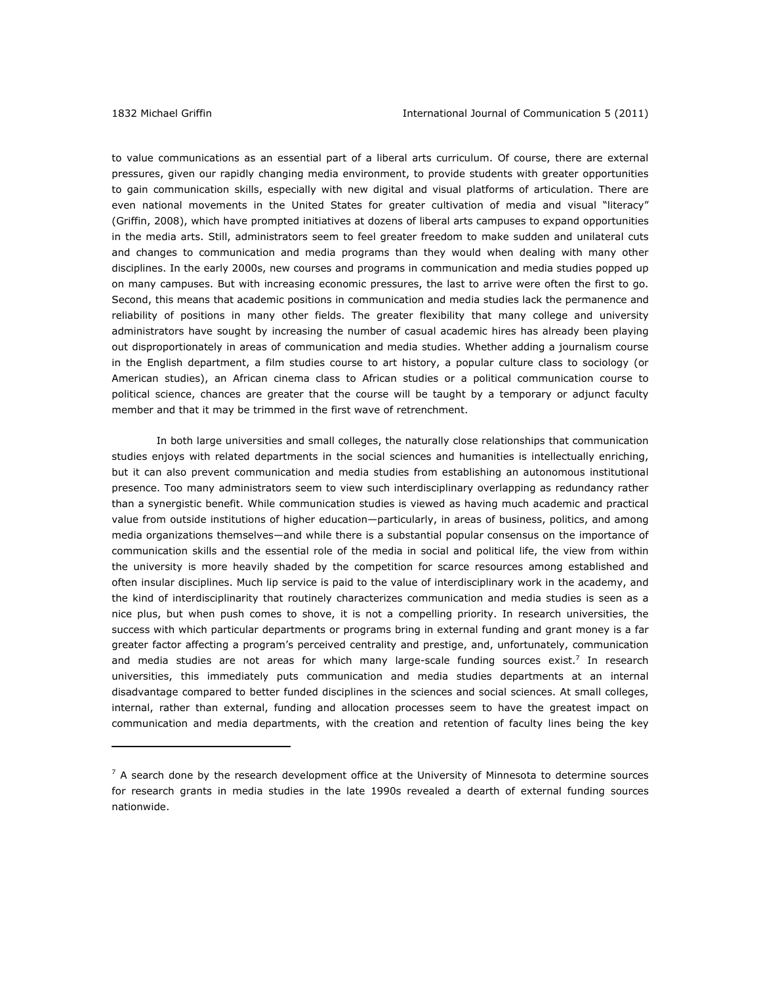to value communications as an essential part of a liberal arts curriculum. Of course, there are external pressures, given our rapidly changing media environment, to provide students with greater opportunities to gain communication skills, especially with new digital and visual platforms of articulation. There are even national movements in the United States for greater cultivation of media and visual "literacy" (Griffin, 2008), which have prompted initiatives at dozens of liberal arts campuses to expand opportunities in the media arts. Still, administrators seem to feel greater freedom to make sudden and unilateral cuts and changes to communication and media programs than they would when dealing with many other disciplines. In the early 2000s, new courses and programs in communication and media studies popped up on many campuses. But with increasing economic pressures, the last to arrive were often the first to go. Second, this means that academic positions in communication and media studies lack the permanence and reliability of positions in many other fields. The greater flexibility that many college and university administrators have sought by increasing the number of casual academic hires has already been playing out disproportionately in areas of communication and media studies. Whether adding a journalism course in the English department, a film studies course to art history, a popular culture class to sociology (or American studies), an African cinema class to African studies or a political communication course to political science, chances are greater that the course will be taught by a temporary or adjunct faculty member and that it may be trimmed in the first wave of retrenchment.

In both large universities and small colleges, the naturally close relationships that communication studies enjoys with related departments in the social sciences and humanities is intellectually enriching, but it can also prevent communication and media studies from establishing an autonomous institutional presence. Too many administrators seem to view such interdisciplinary overlapping as redundancy rather than a synergistic benefit. While communication studies is viewed as having much academic and practical value from outside institutions of higher education—particularly, in areas of business, politics, and among media organizations themselves—and while there is a substantial popular consensus on the importance of communication skills and the essential role of the media in social and political life, the view from within the university is more heavily shaded by the competition for scarce resources among established and often insular disciplines. Much lip service is paid to the value of interdisciplinary work in the academy, and the kind of interdisciplinarity that routinely characterizes communication and media studies is seen as a nice plus, but when push comes to shove, it is not a compelling priority. In research universities, the success with which particular departments or programs bring in external funding and grant money is a far greater factor affecting a program's perceived centrality and prestige, and, unfortunately, communication and media studies are not areas for which many large-scale funding sources exist.<sup>7</sup> In research universities, this immediately puts communication and media studies departments at an internal disadvantage compared to better funded disciplines in the sciences and social sciences. At small colleges, internal, rather than external, funding and allocation processes seem to have the greatest impact on communication and media departments, with the creation and retention of faculty lines being the key

 $^7$  A search done by the research development office at the University of Minnesota to determine sources for research grants in media studies in the late 1990s revealed a dearth of external funding sources nationwide.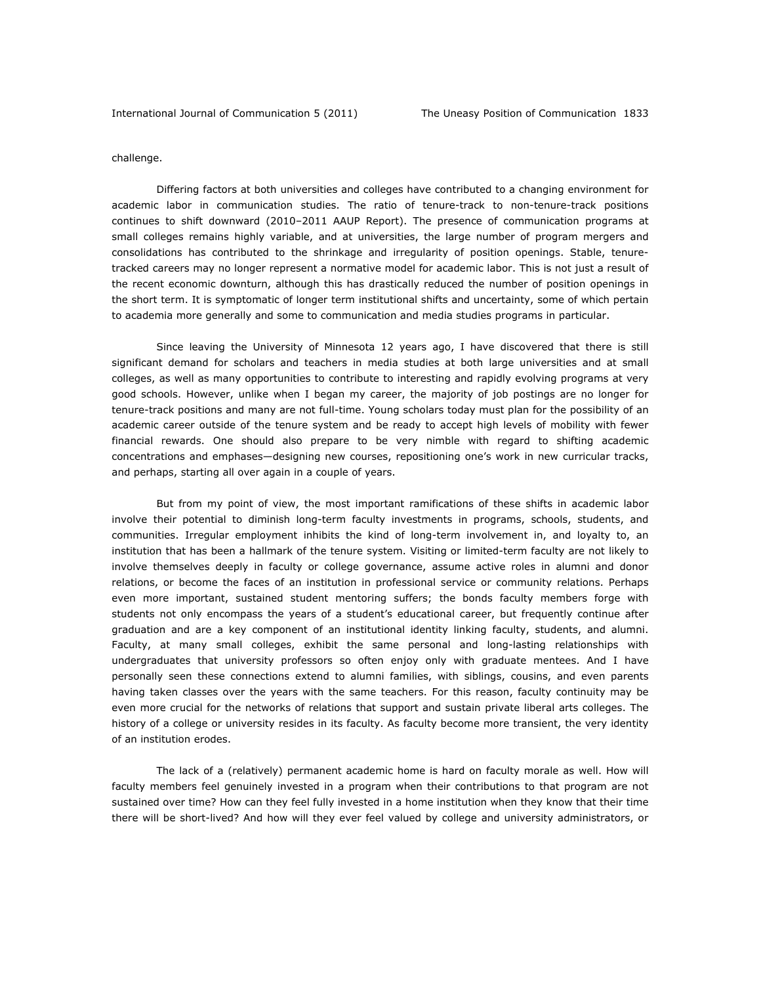challenge.

Differing factors at both universities and colleges have contributed to a changing environment for academic labor in communication studies. The ratio of tenure-track to non-tenure-track positions continues to shift downward (2010–2011 AAUP Report). The presence of communication programs at small colleges remains highly variable, and at universities, the large number of program mergers and consolidations has contributed to the shrinkage and irregularity of position openings. Stable, tenuretracked careers may no longer represent a normative model for academic labor. This is not just a result of the recent economic downturn, although this has drastically reduced the number of position openings in the short term. It is symptomatic of longer term institutional shifts and uncertainty, some of which pertain to academia more generally and some to communication and media studies programs in particular.

Since leaving the University of Minnesota 12 years ago, I have discovered that there is still significant demand for scholars and teachers in media studies at both large universities and at small colleges, as well as many opportunities to contribute to interesting and rapidly evolving programs at very good schools. However, unlike when I began my career, the majority of job postings are no longer for tenure-track positions and many are not full-time. Young scholars today must plan for the possibility of an academic career outside of the tenure system and be ready to accept high levels of mobility with fewer financial rewards. One should also prepare to be very nimble with regard to shifting academic concentrations and emphases—designing new courses, repositioning one's work in new curricular tracks, and perhaps, starting all over again in a couple of years.

But from my point of view, the most important ramifications of these shifts in academic labor involve their potential to diminish long-term faculty investments in programs, schools, students, and communities. Irregular employment inhibits the kind of long-term involvement in, and loyalty to, an institution that has been a hallmark of the tenure system. Visiting or limited-term faculty are not likely to involve themselves deeply in faculty or college governance, assume active roles in alumni and donor relations, or become the faces of an institution in professional service or community relations. Perhaps even more important, sustained student mentoring suffers; the bonds faculty members forge with students not only encompass the years of a student's educational career, but frequently continue after graduation and are a key component of an institutional identity linking faculty, students, and alumni. Faculty, at many small colleges, exhibit the same personal and long-lasting relationships with undergraduates that university professors so often enjoy only with graduate mentees. And I have personally seen these connections extend to alumni families, with siblings, cousins, and even parents having taken classes over the years with the same teachers. For this reason, faculty continuity may be even more crucial for the networks of relations that support and sustain private liberal arts colleges. The history of a college or university resides in its faculty. As faculty become more transient, the very identity of an institution erodes.

The lack of a (relatively) permanent academic home is hard on faculty morale as well. How will faculty members feel genuinely invested in a program when their contributions to that program are not sustained over time? How can they feel fully invested in a home institution when they know that their time there will be short-lived? And how will they ever feel valued by college and university administrators, or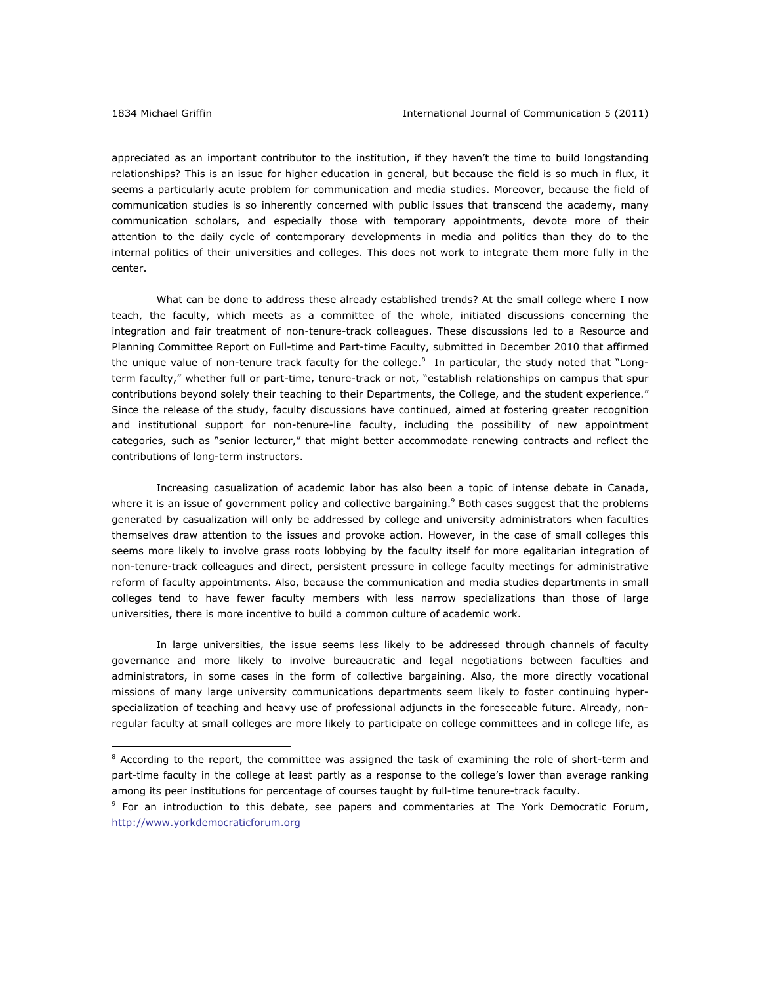appreciated as an important contributor to the institution, if they haven't the time to build longstanding relationships? This is an issue for higher education in general, but because the field is so much in flux, it seems a particularly acute problem for communication and media studies. Moreover, because the field of communication studies is so inherently concerned with public issues that transcend the academy, many communication scholars, and especially those with temporary appointments, devote more of their attention to the daily cycle of contemporary developments in media and politics than they do to the internal politics of their universities and colleges. This does not work to integrate them more fully in the center.

What can be done to address these already established trends? At the small college where I now teach, the faculty, which meets as a committee of the whole, initiated discussions concerning the integration and fair treatment of non-tenure-track colleagues. These discussions led to a Resource and Planning Committee Report on Full-time and Part-time Faculty, submitted in December 2010 that affirmed the unique value of non-tenure track faculty for the college.<sup>8</sup> In particular, the study noted that "Longterm faculty," whether full or part-time, tenure-track or not, "establish relationships on campus that spur contributions beyond solely their teaching to their Departments, the College, and the student experience." Since the release of the study, faculty discussions have continued, aimed at fostering greater recognition and institutional support for non-tenure-line faculty, including the possibility of new appointment categories, such as "senior lecturer," that might better accommodate renewing contracts and reflect the contributions of long-term instructors.

Increasing casualization of academic labor has also been a topic of intense debate in Canada, where it is an issue of government policy and collective bargaining. $9$  Both cases suggest that the problems generated by casualization will only be addressed by college and university administrators when faculties themselves draw attention to the issues and provoke action. However, in the case of small colleges this seems more likely to involve grass roots lobbying by the faculty itself for more egalitarian integration of non-tenure-track colleagues and direct, persistent pressure in college faculty meetings for administrative reform of faculty appointments. Also, because the communication and media studies departments in small colleges tend to have fewer faculty members with less narrow specializations than those of large universities, there is more incentive to build a common culture of academic work.

In large universities, the issue seems less likely to be addressed through channels of faculty governance and more likely to involve bureaucratic and legal negotiations between faculties and administrators, in some cases in the form of collective bargaining. Also, the more directly vocational missions of many large university communications departments seem likely to foster continuing hyperspecialization of teaching and heavy use of professional adjuncts in the foreseeable future. Already, nonregular faculty at small colleges are more likely to participate on college committees and in college life, as

<sup>&</sup>lt;sup>8</sup> According to the report, the committee was assigned the task of examining the role of short-term and part-time faculty in the college at least partly as a response to the college's lower than average ranking among its peer institutions for percentage of courses taught by full-time tenure-track faculty.

<sup>&</sup>lt;sup>9</sup> For an introduction to this debate, see papers and commentaries at The York Democratic Forum, http://www.yorkdemocraticforum.org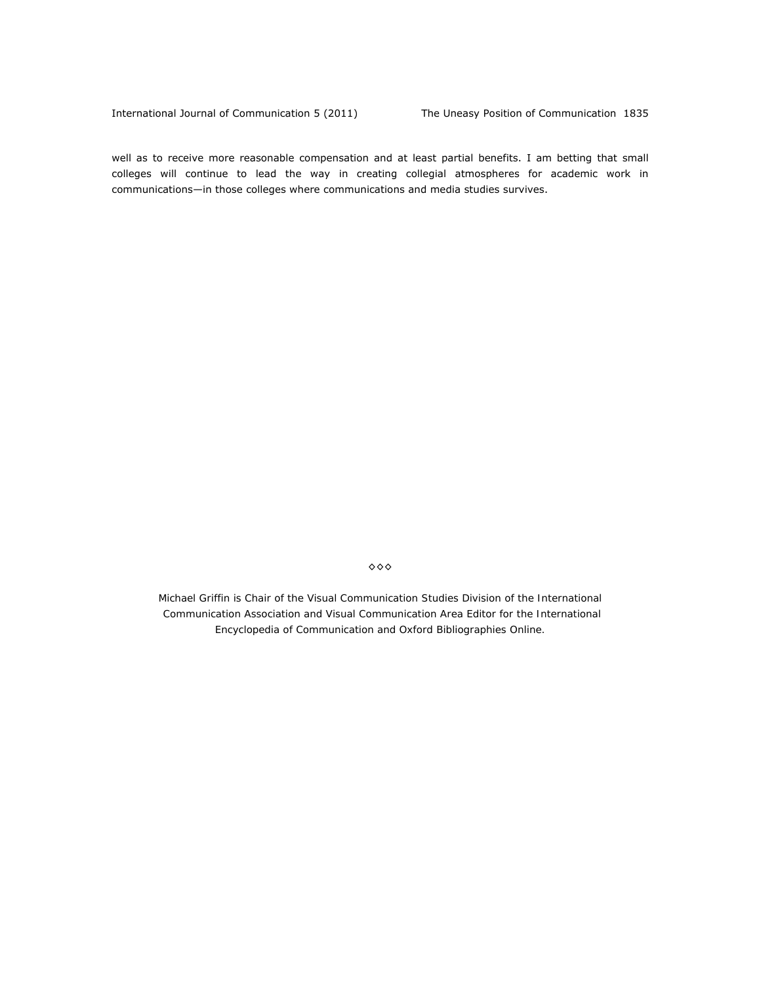International Journal of Communication 5 (2011) The Uneasy Position of Communication 1835

well as to receive more reasonable compensation and at least partial benefits. I am betting that small colleges will continue to lead the way in creating collegial atmospheres for academic work in communications—in those colleges where communications and media studies survives.

◊◊◊

*Michael Griffin is Chair of the Visual Communication Studies Division of the International Communication Association and Visual Communication Area Editor for the International Encyclopedia of Communication and Oxford Bibliographies Online.*